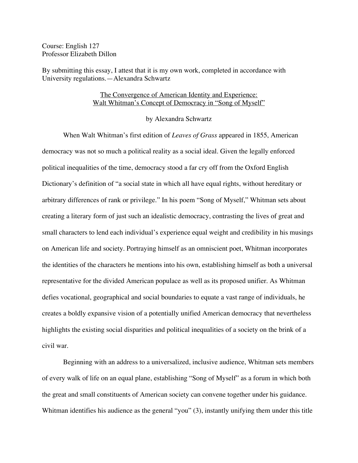Course: English 127 Professor Elizabeth Dillon

By submitting this essay, I attest that it is my own work, completed in accordance with University regulations.—Alexandra Schwartz

## The Convergence of American Identity and Experience: Walt Whitman's Concept of Democracy in "Song of Myself"

## by Alexandra Schwartz

When Walt Whitman's first edition of *Leaves of Grass* appeared in 1855, American democracy was not so much a political reality as a social ideal. Given the legally enforced political inequalities of the time, democracy stood a far cry off from the Oxford English Dictionary's definition of "a social state in which all have equal rights, without hereditary or arbitrary differences of rank or privilege." In his poem "Song of Myself," Whitman sets about creating a literary form of just such an idealistic democracy, contrasting the lives of great and small characters to lend each individual's experience equal weight and credibility in his musings on American life and society. Portraying himself as an omniscient poet, Whitman incorporates the identities of the characters he mentions into his own, establishing himself as both a universal representative for the divided American populace as well as its proposed unifier. As Whitman defies vocational, geographical and social boundaries to equate a vast range of individuals, he creates a boldly expansive vision of a potentially unified American democracy that nevertheless highlights the existing social disparities and political inequalities of a society on the brink of a civil war.

Beginning with an address to a universalized, inclusive audience, Whitman sets members of every walk of life on an equal plane, establishing "Song of Myself" as a forum in which both the great and small constituents of American society can convene together under his guidance. Whitman identifies his audience as the general "you" (3), instantly unifying them under this title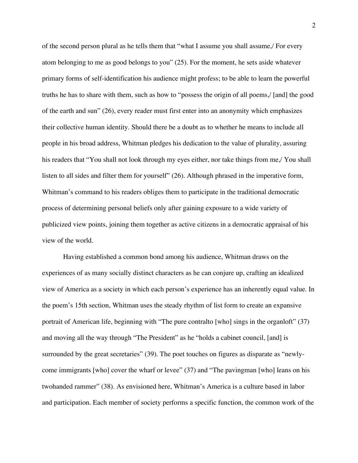of the second person plural as he tells them that "what I assume you shall assume,/ For every atom belonging to me as good belongs to you" (25). For the moment, he sets aside whatever primary forms of self-identification his audience might profess; to be able to learn the powerful truths he has to share with them, such as how to "possess the origin of all poems,/ [and] the good of the earth and sun" (26), every reader must first enter into an anonymity which emphasizes their collective human identity. Should there be a doubt as to whether he means to include all people in his broad address, Whitman pledges his dedication to the value of plurality, assuring his readers that "You shall not look through my eyes either, nor take things from me,/ You shall listen to all sides and filter them for yourself" (26). Although phrased in the imperative form, Whitman's command to his readers obliges them to participate in the traditional democratic process of determining personal beliefs only after gaining exposure to a wide variety of publicized view points, joining them together as active citizens in a democratic appraisal of his view of the world.

Having established a common bond among his audience, Whitman draws on the experiences of as many socially distinct characters as he can conjure up, crafting an idealized view of America as a society in which each person's experience has an inherently equal value. In the poem's 15th section, Whitman uses the steady rhythm of list form to create an expansive portrait of American life, beginning with "The pure contralto [who] sings in the organloft" (37) and moving all the way through "The President" as he "holds a cabinet council, [and] is surrounded by the great secretaries" (39). The poet touches on figures as disparate as "newlycome immigrants [who] cover the wharf or levee" (37) and "The pavingman [who] leans on his twohanded rammer" (38). As envisioned here, Whitman's America is a culture based in labor and participation. Each member of society performs a specific function, the common work of the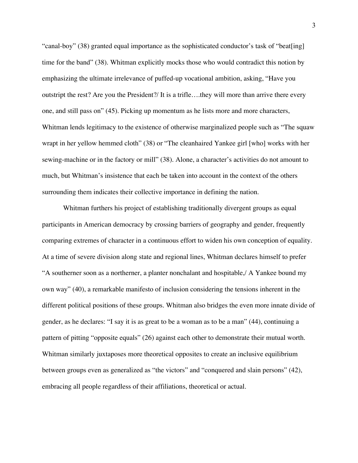"canal-boy" (38) granted equal importance as the sophisticated conductor's task of "beat[ing] time for the band" (38). Whitman explicitly mocks those who would contradict this notion by emphasizing the ultimate irrelevance of puffed-up vocational ambition, asking, "Have you outstript the rest? Are you the President?/ It is a trifle….they will more than arrive there every one, and still pass on" (45). Picking up momentum as he lists more and more characters, Whitman lends legitimacy to the existence of otherwise marginalized people such as "The squaw" wrapt in her yellow hemmed cloth" (38) or "The cleanhaired Yankee girl [who] works with her sewing-machine or in the factory or mill" (38). Alone, a character's activities do not amount to much, but Whitman's insistence that each be taken into account in the context of the others surrounding them indicates their collective importance in defining the nation.

Whitman furthers his project of establishing traditionally divergent groups as equal participants in American democracy by crossing barriers of geography and gender, frequently comparing extremes of character in a continuous effort to widen his own conception of equality. At a time of severe division along state and regional lines, Whitman declares himself to prefer "A southerner soon as a northerner, a planter nonchalant and hospitable,/ A Yankee bound my own way" (40), a remarkable manifesto of inclusion considering the tensions inherent in the different political positions of these groups. Whitman also bridges the even more innate divide of gender, as he declares: "I say it is as great to be a woman as to be a man" (44), continuing a pattern of pitting "opposite equals" (26) against each other to demonstrate their mutual worth. Whitman similarly juxtaposes more theoretical opposites to create an inclusive equilibrium between groups even as generalized as "the victors" and "conquered and slain persons" (42), embracing all people regardless of their affiliations, theoretical or actual.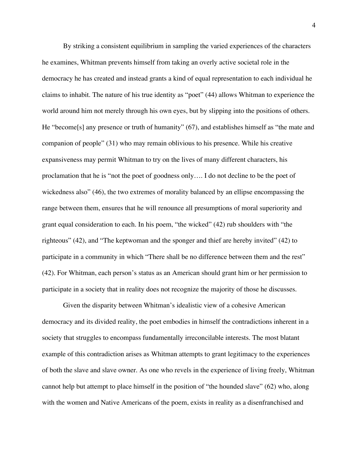By striking a consistent equilibrium in sampling the varied experiences of the characters he examines, Whitman prevents himself from taking an overly active societal role in the democracy he has created and instead grants a kind of equal representation to each individual he claims to inhabit. The nature of his true identity as "poet" (44) allows Whitman to experience the world around him not merely through his own eyes, but by slipping into the positions of others. He "become<sup>[s]</sup> any presence or truth of humanity" (67), and establishes himself as "the mate and companion of people" (31) who may remain oblivious to his presence. While his creative expansiveness may permit Whitman to try on the lives of many different characters, his proclamation that he is "not the poet of goodness only…. I do not decline to be the poet of wickedness also" (46), the two extremes of morality balanced by an ellipse encompassing the range between them, ensures that he will renounce all presumptions of moral superiority and grant equal consideration to each. In his poem, "the wicked" (42) rub shoulders with "the righteous" (42), and "The keptwoman and the sponger and thief are hereby invited" (42) to participate in a community in which "There shall be no difference between them and the rest" (42). For Whitman, each person's status as an American should grant him or her permission to participate in a society that in reality does not recognize the majority of those he discusses.

Given the disparity between Whitman's idealistic view of a cohesive American democracy and its divided reality, the poet embodies in himself the contradictions inherent in a society that struggles to encompass fundamentally irreconcilable interests. The most blatant example of this contradiction arises as Whitman attempts to grant legitimacy to the experiences of both the slave and slave owner. As one who revels in the experience of living freely, Whitman cannot help but attempt to place himself in the position of "the hounded slave" (62) who, along with the women and Native Americans of the poem, exists in reality as a disenfranchised and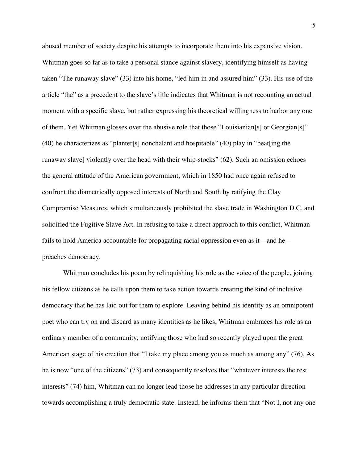abused member of society despite his attempts to incorporate them into his expansive vision. Whitman goes so far as to take a personal stance against slavery, identifying himself as having taken "The runaway slave" (33) into his home, "led him in and assured him" (33). His use of the article "the" as a precedent to the slave's title indicates that Whitman is not recounting an actual moment with a specific slave, but rather expressing his theoretical willingness to harbor any one of them. Yet Whitman glosses over the abusive role that those "Louisianian[s] or Georgian[s]" (40) he characterizes as "planter[s] nonchalant and hospitable" (40) play in "beat[ing the runaway slave] violently over the head with their whip-stocks" (62). Such an omission echoes the general attitude of the American government, which in 1850 had once again refused to confront the diametrically opposed interests of North and South by ratifying the Clay Compromise Measures, which simultaneously prohibited the slave trade in Washington D.C. and solidified the Fugitive Slave Act. In refusing to take a direct approach to this conflict, Whitman fails to hold America accountable for propagating racial oppression even as it—and he preaches democracy.

Whitman concludes his poem by relinquishing his role as the voice of the people, joining his fellow citizens as he calls upon them to take action towards creating the kind of inclusive democracy that he has laid out for them to explore. Leaving behind his identity as an omnipotent poet who can try on and discard as many identities as he likes, Whitman embraces his role as an ordinary member of a community, notifying those who had so recently played upon the great American stage of his creation that "I take my place among you as much as among any" (76). As he is now "one of the citizens" (73) and consequently resolves that "whatever interests the rest interests" (74) him, Whitman can no longer lead those he addresses in any particular direction towards accomplishing a truly democratic state. Instead, he informs them that "Not I, not any one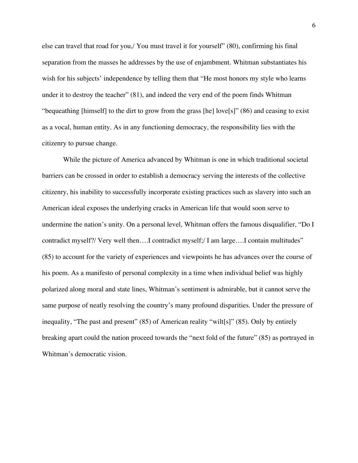else can travel that road for you,/ You must travel it for yourself" (80), confirming his final separation from the masses he addresses by the use of enjambment. Whitman substantiates his wish for his subjects' independence by telling them that "He most honors my style who learns under it to destroy the teacher" (81), and indeed the very end of the poem finds Whitman "bequeathing [himself] to the dirt to grow from the grass [he] love[s]" (86) and ceasing to exist as a vocal, human entity. As in any functioning democracy, the responsibility lies with the citizenry to pursue change.

While the picture of America advanced by Whitman is one in which traditional societal barriers can be crossed in order to establish a democracy serving the interests of the collective citizenry, his inability to successfully incorporate existing practices such as slavery into such an American ideal exposes the underlying cracks in American life that would soon serve to undermine the nation's unity. On a personal level, Whitman offers the famous disqualifier, "Do I contradict myself?/ Very well then….I contradict myself;/ I am large….I contain multitudes" (85) to account for the variety of experiences and viewpoints he has advances over the course of his poem. As a manifesto of personal complexity in a time when individual belief was highly polarized along moral and state lines, Whitman's sentiment is admirable, but it cannot serve the same purpose of neatly resolving the country's many profound disparities. Under the pressure of inequality, "The past and present" (85) of American reality "wilt[s]" (85). Only by entirely breaking apart could the nation proceed towards the "next fold of the future" (85) as portrayed in Whitman's democratic vision.